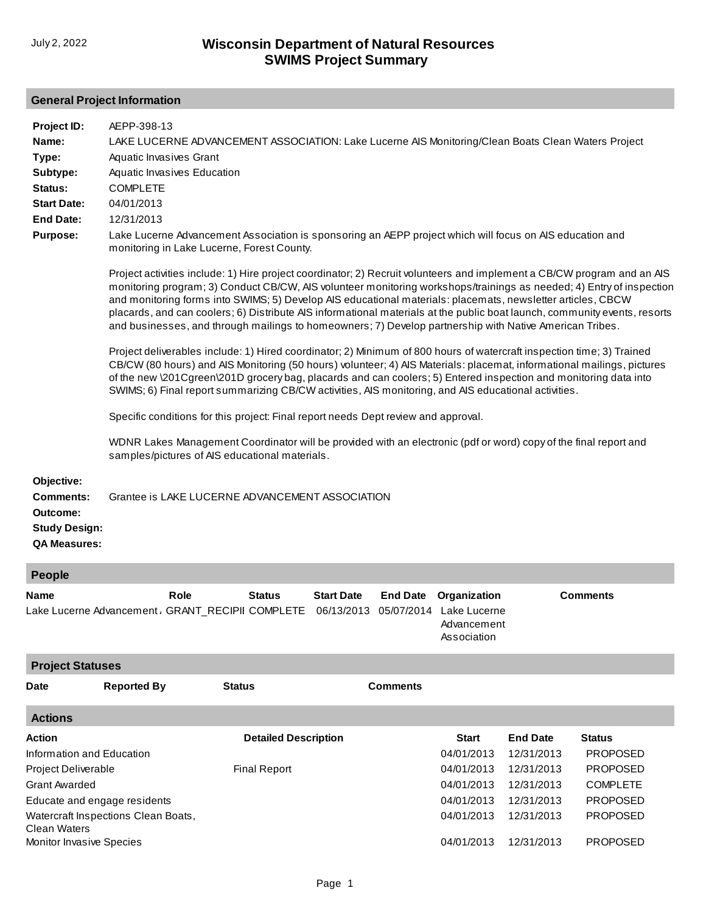## **General Project Information**

| Project ID:                                                                               | AEPP-398-13                                                                                                                                                                                                                                                                                                                                                                                                                                                                                                                                                                                            |
|-------------------------------------------------------------------------------------------|--------------------------------------------------------------------------------------------------------------------------------------------------------------------------------------------------------------------------------------------------------------------------------------------------------------------------------------------------------------------------------------------------------------------------------------------------------------------------------------------------------------------------------------------------------------------------------------------------------|
| Name:                                                                                     | LAKE LUCERNE ADVANCEMENT ASSOCIATION: Lake Lucerne AIS Monitoring/Clean Boats Clean Waters Project                                                                                                                                                                                                                                                                                                                                                                                                                                                                                                     |
| Type:                                                                                     | Aquatic Invasives Grant                                                                                                                                                                                                                                                                                                                                                                                                                                                                                                                                                                                |
| Subtype:                                                                                  | Aquatic Invasives Education                                                                                                                                                                                                                                                                                                                                                                                                                                                                                                                                                                            |
| Status:                                                                                   | <b>COMPLETE</b>                                                                                                                                                                                                                                                                                                                                                                                                                                                                                                                                                                                        |
| <b>Start Date:</b>                                                                        | 04/01/2013                                                                                                                                                                                                                                                                                                                                                                                                                                                                                                                                                                                             |
| <b>End Date:</b>                                                                          | 12/31/2013                                                                                                                                                                                                                                                                                                                                                                                                                                                                                                                                                                                             |
| <b>Purpose:</b>                                                                           | Lake Lucerne Advancement Association is sponsoring an AEPP project which will focus on AIS education and<br>monitoring in Lake Lucerne, Forest County.                                                                                                                                                                                                                                                                                                                                                                                                                                                 |
|                                                                                           | Project activities include: 1) Hire project coordinator; 2) Recruit volunteers and implement a CB/CW program and an AIS<br>monitoring program; 3) Conduct CB/CW, AIS volunteer monitoring workshops/trainings as needed; 4) Entry of inspection<br>and monitoring forms into SWIMS; 5) Develop AIS educational materials: placemats, newsletter articles, CBCW<br>placards, and can coolers; 6) Distribute AIS informational materials at the public boat launch, community events, resorts<br>and businesses, and through mailings to homeowners; 7) Develop partnership with Native American Tribes. |
|                                                                                           | Project deliverables include: 1) Hired coordinator; 2) Minimum of 800 hours of watercraft inspection time; 3) Trained<br>CB/CW (80 hours) and AIS Monitoring (50 hours) volunteer; 4) AIS Materials: placemat, informational mailings, pictures<br>of the new \201Cgreen\201D grocery bag, placards and can coolers; 5) Entered inspection and monitoring data into<br>SWIMS; 6) Final report summarizing CB/CW activities, AIS monitoring, and AIS educational activities.                                                                                                                            |
|                                                                                           | Specific conditions for this project: Final report needs Dept review and approval.                                                                                                                                                                                                                                                                                                                                                                                                                                                                                                                     |
|                                                                                           | WDNR Lakes Management Coordinator will be provided with an electronic (pdf or word) copy of the final report and<br>samples/pictures of AIS educational materials.                                                                                                                                                                                                                                                                                                                                                                                                                                     |
| Objective:<br><b>Comments:</b><br>Outcome:<br><b>Study Design:</b><br><b>QA Measures:</b> | Grantee is LAKE LUCERNE ADVANCEMENT ASSOCIATION                                                                                                                                                                                                                                                                                                                                                                                                                                                                                                                                                        |
| People                                                                                    |                                                                                                                                                                                                                                                                                                                                                                                                                                                                                                                                                                                                        |

| <b>Name</b>                                                                            |                    | Role<br>Lake Lucerne Advancement, GRANT_RECIPII COMPLETE | <b>Status</b>               | <b>Start Date</b><br>06/13/2013 | <b>End Date</b><br>05/07/2014 | Organization<br>Lake Lucerne<br>Advancement<br>Association |                               | <b>Comments</b>                    |  |
|----------------------------------------------------------------------------------------|--------------------|----------------------------------------------------------|-----------------------------|---------------------------------|-------------------------------|------------------------------------------------------------|-------------------------------|------------------------------------|--|
| <b>Project Statuses</b>                                                                |                    |                                                          |                             |                                 |                               |                                                            |                               |                                    |  |
| <b>Date</b>                                                                            | <b>Reported By</b> |                                                          | <b>Status</b>               |                                 | <b>Comments</b>               |                                                            |                               |                                    |  |
| <b>Actions</b>                                                                         |                    |                                                          |                             |                                 |                               |                                                            |                               |                                    |  |
| Action<br>Information and Education                                                    |                    |                                                          | <b>Detailed Description</b> |                                 |                               | <b>Start</b><br>04/01/2013                                 | <b>End Date</b><br>12/31/2013 | <b>Status</b><br><b>PROPOSED</b>   |  |
| Project Deliverable                                                                    |                    |                                                          | <b>Final Report</b>         |                                 |                               | 04/01/2013                                                 | 12/31/2013                    | <b>PROPOSED</b>                    |  |
| <b>Grant Awarded</b><br>Educate and engage residents                                   |                    |                                                          |                             |                                 |                               | 04/01/2013<br>04/01/2013                                   | 12/31/2013<br>12/31/2013      | <b>COMPLETE</b><br><b>PROPOSED</b> |  |
| Watercraft Inspections Clean Boats,<br>Clean Waters<br><b>Monitor Invasive Species</b> |                    |                                                          |                             |                                 |                               | 04/01/2013<br>04/01/2013                                   | 12/31/2013<br>12/31/2013      | <b>PROPOSED</b><br><b>PROPOSED</b> |  |
|                                                                                        |                    |                                                          |                             |                                 |                               |                                                            |                               |                                    |  |